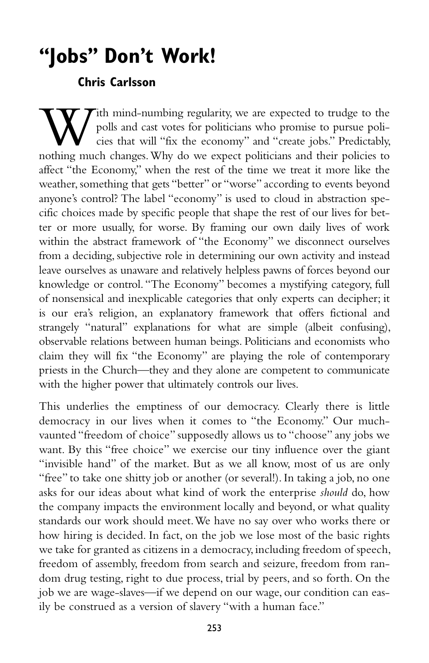# **"Jobs" Don't Work!**

## **Chris Carlsson**

With mind-numbing regularity, we are expected to trudge to the polls and cast votes for politicians who promise to pursue poli-<br>cies that will "fix the economy" and "create jobs." Predictably, polls and cast votes for politicians who promise to pursue policies that will "fix the economy" and "create jobs." Predictably, nothing much changes. Why do we expect politicians and their policies to affect "the Economy," when the rest of the time we treat it more like the weather, something that gets "better" or "worse" according to events beyond anyone's control? The label "economy" is used to cloud in abstraction specific choices made by specific people that shape the rest of our lives for better or more usually, for worse. By framing our own daily lives of work within the abstract framework of "the Economy" we disconnect ourselves from a deciding, subjective role in determining our own activity and instead leave ourselves as unaware and relatively helpless pawns of forces beyond our knowledge or control. "The Economy" becomes a mystifying category, full of nonsensical and inexplicable categories that only experts can decipher; it is our era's religion, an explanatory framework that offers fictional and strangely "natural" explanations for what are simple (albeit confusing), observable relations between human beings. Politicians and economists who claim they will fix "the Economy" are playing the role of contemporary priests in the Church—they and they alone are competent to communicate with the higher power that ultimately controls our lives.

This underlies the emptiness of our democracy. Clearly there is little democracy in our lives when it comes to "the Economy." Our muchvaunted "freedom of choice" supposedly allows us to "choose" any jobs we want. By this "free choice" we exercise our tiny influence over the giant "invisible hand" of the market. But as we all know, most of us are only "free" to take one shitty job or another (or several!). In taking a job, no one asks for our ideas about what kind of work the enterprise *should* do, how the company impacts the environment locally and beyond, or what quality standards our work should meet. We have no say over who works there or how hiring is decided. In fact, on the job we lose most of the basic rights we take for granted as citizens in a democracy, including freedom of speech, freedom of assembly, freedom from search and seizure, freedom from random drug testing, right to due process, trial by peers, and so forth. On the job we are wage-slaves—if we depend on our wage, our condition can easily be construed as a version of slavery "with a human face."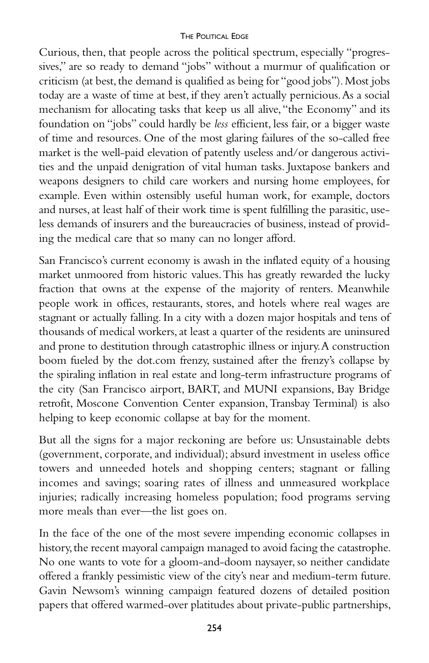#### **THE POLITICAL EDGE**

Curious, then, that people across the political spectrum, especially "progressives," are so ready to demand "jobs" without a murmur of qualification or criticism (at best, the demand is qualified as being for "good jobs"). Most jobs today are a waste of time at best, if they aren't actually pernicious. As a social mechanism for allocating tasks that keep us all alive, "the Economy" and its foundation on "jobs" could hardly be *less* efficient, less fair, or a bigger waste of time and resources. One of the most glaring failures of the so-called free market is the well-paid elevation of patently useless and/or dangerous activities and the unpaid denigration of vital human tasks. Juxtapose bankers and weapons designers to child care workers and nursing home employees, for example. Even within ostensibly useful human work, for example, doctors and nurses, at least half of their work time is spent fulfilling the parasitic, useless demands of insurers and the bureaucracies of business, instead of providing the medical care that so many can no longer afford.

San Francisco's current economy is awash in the inflated equity of a housing market unmoored from historic values. This has greatly rewarded the lucky fraction that owns at the expense of the majority of renters. Meanwhile people work in offices, restaurants, stores, and hotels where real wages are stagnant or actually falling. In a city with a dozen major hospitals and tens of thousands of medical workers, at least a quarter of the residents are uninsured and prone to destitution through catastrophic illness or injury. A construction boom fueled by the dot.com frenzy, sustained after the frenzy's collapse by the spiraling inflation in real estate and long-term infrastructure programs of the city (San Francisco airport, BART, and MUNI expansions, Bay Bridge retrofit, Moscone Convention Center expansion, Transbay Terminal) is also helping to keep economic collapse at bay for the moment.

But all the signs for a major reckoning are before us: Unsustainable debts (government, corporate, and individual); absurd investment in useless office towers and unneeded hotels and shopping centers; stagnant or falling incomes and savings; soaring rates of illness and unmeasured workplace injuries; radically increasing homeless population; food programs serving more meals than ever—the list goes on.

In the face of the one of the most severe impending economic collapses in history, the recent mayoral campaign managed to avoid facing the catastrophe. No one wants to vote for a gloom-and-doom naysayer, so neither candidate offered a frankly pessimistic view of the city's near and medium-term future. Gavin Newsom's winning campaign featured dozens of detailed position papers that offered warmed-over platitudes about private-public partnerships,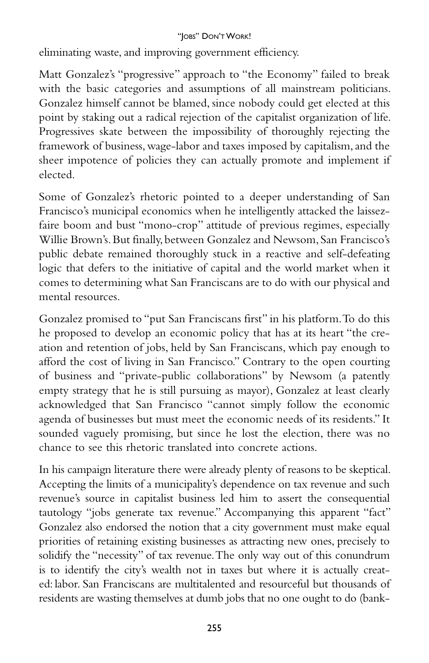#### "|OBS" DON'T WORK!

eliminating waste, and improving government efficiency.

Matt Gonzalez's "progressive" approach to "the Economy" failed to break with the basic categories and assumptions of all mainstream politicians. Gonzalez himself cannot be blamed, since nobody could get elected at this point by staking out a radical rejection of the capitalist organization of life. Progressives skate between the impossibility of thoroughly rejecting the framework of business, wage-labor and taxes imposed by capitalism, and the sheer impotence of policies they can actually promote and implement if elected.

Some of Gonzalez's rhetoric pointed to a deeper understanding of San Francisco's municipal economics when he intelligently attacked the laissezfaire boom and bust "mono-crop" attitude of previous regimes, especially Willie Brown's. But finally, between Gonzalez and Newsom, San Francisco's public debate remained thoroughly stuck in a reactive and self-defeating logic that defers to the initiative of capital and the world market when it comes to determining what San Franciscans are to do with our physical and mental resources.

Gonzalez promised to "put San Franciscans first" in his platform. To do this he proposed to develop an economic policy that has at its heart "the creation and retention of jobs, held by San Franciscans, which pay enough to afford the cost of living in San Francisco." Contrary to the open courting of business and "private-public collaborations" by Newsom (a patently empty strategy that he is still pursuing as mayor), Gonzalez at least clearly acknowledged that San Francisco "cannot simply follow the economic agenda of businesses but must meet the economic needs of its residents." It sounded vaguely promising, but since he lost the election, there was no chance to see this rhetoric translated into concrete actions.

In his campaign literature there were already plenty of reasons to be skeptical. Accepting the limits of a municipality's dependence on tax revenue and such revenue's source in capitalist business led him to assert the consequential tautology "jobs generate tax revenue." Accompanying this apparent "fact" Gonzalez also endorsed the notion that a city government must make equal priorities of retaining existing businesses as attracting new ones, precisely to solidify the "necessity" of tax revenue. The only way out of this conundrum is to identify the city's wealth not in taxes but where it is actually created: labor. San Franciscans are multitalented and resourceful but thousands of residents are wasting themselves at dumb jobs that no one ought to do (bank-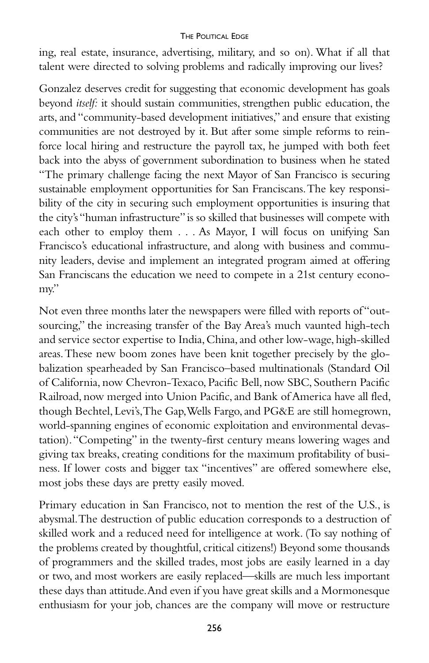#### **THE POLITICAL EDGE**

ing, real estate, insurance, advertising, military, and so on). What if all that talent were directed to solving problems and radically improving our lives?

Gonzalez deserves credit for suggesting that economic development has goals beyond *itself:* it should sustain communities, strengthen public education, the arts, and "community-based development initiatives," and ensure that existing communities are not destroyed by it. But after some simple reforms to reinforce local hiring and restructure the payroll tax, he jumped with both feet back into the abyss of government subordination to business when he stated "The primary challenge facing the next Mayor of San Francisco is securing sustainable employment opportunities for San Franciscans. The key responsibility of the city in securing such employment opportunities is insuring that the city's "human infrastructure" is so skilled that businesses will compete with each other to employ them . . . As Mayor, I will focus on unifying San Francisco's educational infrastructure, and along with business and community leaders, devise and implement an integrated program aimed at offering San Franciscans the education we need to compete in a 21st century economy."

Not even three months later the newspapers were filled with reports of "outsourcing," the increasing transfer of the Bay Area's much vaunted high-tech and service sector expertise to India, China, and other low-wage, high-skilled areas. These new boom zones have been knit together precisely by the globalization spearheaded by San Francisco–based multinationals (Standard Oil of California, now Chevron-Texaco, Pacific Bell, now SBC, Southern Pacific Railroad, now merged into Union Pacific, and Bank of America have all fled, though Bechtel, Levi's, The Gap, Wells Fargo, and PG&E are still homegrown, world-spanning engines of economic exploitation and environmental devastation). "Competing" in the twenty-first century means lowering wages and giving tax breaks, creating conditions for the maximum profitability of business. If lower costs and bigger tax "incentives" are offered somewhere else, most jobs these days are pretty easily moved.

Primary education in San Francisco, not to mention the rest of the U.S., is abysmal. The destruction of public education corresponds to a destruction of skilled work and a reduced need for intelligence at work. (To say nothing of the problems created by thoughtful, critical citizens!) Beyond some thousands of programmers and the skilled trades, most jobs are easily learned in a day or two, and most workers are easily replaced—skills are much less important these days than attitude. And even if you have great skills and a Mormonesque enthusiasm for your job, chances are the company will move or restructure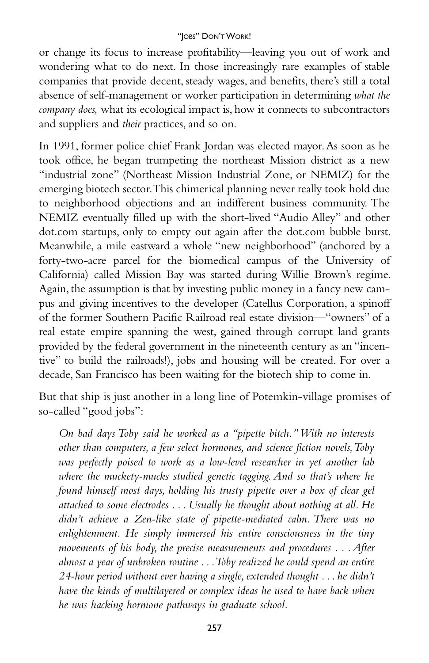or change its focus to increase profitability—leaving you out of work and wondering what to do next. In those increasingly rare examples of stable companies that provide decent, steady wages, and benefits, there's still a total absence of self-management or worker participation in determining *what the company does,* what its ecological impact is, how it connects to subcontractors and suppliers and *their* practices, and so on.

In 1991, former police chief Frank Jordan was elected mayor. As soon as he took office, he began trumpeting the northeast Mission district as a new "industrial zone" (Northeast Mission Industrial Zone, or NEMIZ) for the emerging biotech sector. This chimerical planning never really took hold due to neighborhood objections and an indifferent business community. The NEMIZ eventually filled up with the short-lived "Audio Alley" and other dot.com startups, only to empty out again after the dot.com bubble burst. Meanwhile, a mile eastward a whole "new neighborhood" (anchored by a forty-two-acre parcel for the biomedical campus of the University of California) called Mission Bay was started during Willie Brown's regime. Again, the assumption is that by investing public money in a fancy new campus and giving incentives to the developer (Catellus Corporation, a spinoff of the former Southern Pacific Railroad real estate division—"owners" of a real estate empire spanning the west, gained through corrupt land grants provided by the federal government in the nineteenth century as an "incentive" to build the railroads!), jobs and housing will be created. For over a decade, San Francisco has been waiting for the biotech ship to come in.

But that ship is just another in a long line of Potemkin-village promises of so-called "good jobs":

*On bad days Toby said he worked as a "pipette bitch." With no interests other than computers, a few select hormones, and science fiction novels, Toby was perfectly poised to work as a low-level researcher in yet another lab where the muckety-mucks studied genetic tagging. And so that's where he found himself most days, holding his trusty pipette over a box of clear gel attached to some electrodes . . . Usually he thought about nothing at all. He didn't achieve a Zen-like state of pipette-mediated calm. There was no enlightenment. He simply immersed his entire consciousness in the tiny movements of his body, the precise measurements and procedures . . . After almost a year of unbroken routine . . . Toby realized he could spend an entire 24-hour period without ever having a single, extended thought . . . he didn't have the kinds of multilayered or complex ideas he used to have back when he was hacking hormone pathways in graduate school.*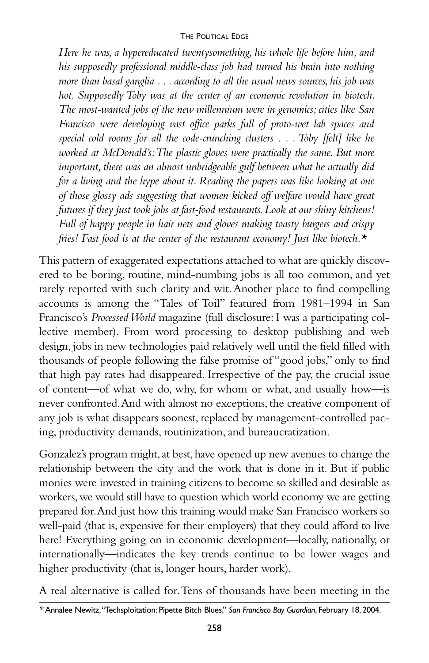#### **THE POLITICAL EDGE**

*Here he was, a hypereducated twentysomething, his whole life before him, and his supposedly professional middle-class job had turned his brain into nothing more than basal ganglia . . . according to all the usual news sources, his job was hot. Supposedly Toby was at the center of an economic revolution in biotech. The most-wanted jobs of the new millennium were in genomics; cities like San Francisco were developing vast office parks full of proto-wet lab spaces and special cold rooms for all the code-crunching clusters . . . Toby [felt] like he worked at McDonald's: The plastic gloves were practically the same. But more important, there was an almost unbridgeable gulf between what he actually did for a living and the hype about it. Reading the papers was like looking at one of those glossy ads suggesting that women kicked off welfare would have great futures if they just took jobs at fast-food restaurants. Look at our shiny kitchens! Full of happy people in hair nets and gloves making toasty burgers and crispy fries! Fast food is at the center of the restaurant economy! Just like biotech.\**

This pattern of exaggerated expectations attached to what are quickly discovered to be boring, routine, mind-numbing jobs is all too common, and yet rarely reported with such clarity and wit. Another place to find compelling accounts is among the "Tales of Toil" featured from 1981–1994 in San Francisco's *Processed World* magazine (full disclosure: I was a participating collective member). From word processing to desktop publishing and web design, jobs in new technologies paid relatively well until the field filled with thousands of people following the false promise of "good jobs," only to find that high pay rates had disappeared. Irrespective of the pay, the crucial issue of content—of what we do, why, for whom or what, and usually how—is never confronted. And with almost no exceptions, the creative component of any job is what disappears soonest, replaced by management-controlled pacing, productivity demands, routinization, and bureaucratization.

Gonzalez's program might, at best, have opened up new avenues to change the relationship between the city and the work that is done in it. But if public monies were invested in training citizens to become so skilled and desirable as workers, we would still have to question which world economy we are getting prepared for. And just how this training would make San Francisco workers so well-paid (that is, expensive for their employers) that they could afford to live here! Everything going on in economic development—locally, nationally, or internationally—indicates the key trends continue to be lower wages and higher productivity (that is, longer hours, harder work).

A real alternative is called for. Tens of thousands have been meeting in the

<sup>\*</sup> Annalee Newitz, "Techsploitation: Pipette Bitch Blues," *San Francisco Bay Guardian*, February 18, 2004.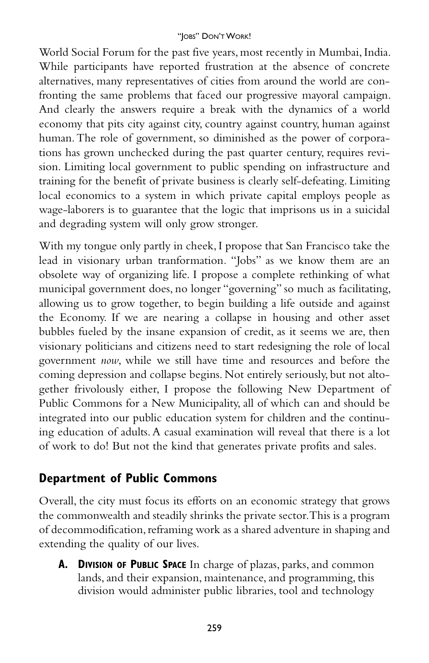World Social Forum for the past five years, most recently in Mumbai, India. While participants have reported frustration at the absence of concrete alternatives, many representatives of cities from around the world are confronting the same problems that faced our progressive mayoral campaign. And clearly the answers require a break with the dynamics of a world economy that pits city against city, country against country, human against human. The role of government, so diminished as the power of corporations has grown unchecked during the past quarter century, requires revision. Limiting local government to public spending on infrastructure and training for the benefit of private business is clearly self-defeating. Limiting local economics to a system in which private capital employs people as wage-laborers is to guarantee that the logic that imprisons us in a suicidal and degrading system will only grow stronger.

With my tongue only partly in cheek, I propose that San Francisco take the lead in visionary urban tranformation*.* "Jobs" as we know them are an obsolete way of organizing life. I propose a complete rethinking of what municipal government does, no longer "governing" so much as facilitating, allowing us to grow together, to begin building a life outside and against the Economy. If we are nearing a collapse in housing and other asset bubbles fueled by the insane expansion of credit, as it seems we are, then visionary politicians and citizens need to start redesigning the role of local government *now*, while we still have time and resources and before the coming depression and collapse begins. Not entirely seriously, but not altogether frivolously either, I propose the following New Department of Public Commons for a New Municipality, all of which can and should be integrated into our public education system for children and the continuing education of adults. A casual examination will reveal that there is a lot of work to do! But not the kind that generates private profits and sales.

## **Department of Public Commons**

Overall, the city must focus its efforts on an economic strategy that grows the commonwealth and steadily shrinks the private sector. This is a program of decommodification, reframing work as a shared adventure in shaping and extending the quality of our lives.

**A. Division of Public Space** In charge of plazas, parks, and common lands, and their expansion, maintenance, and programming, this division would administer public libraries, tool and technology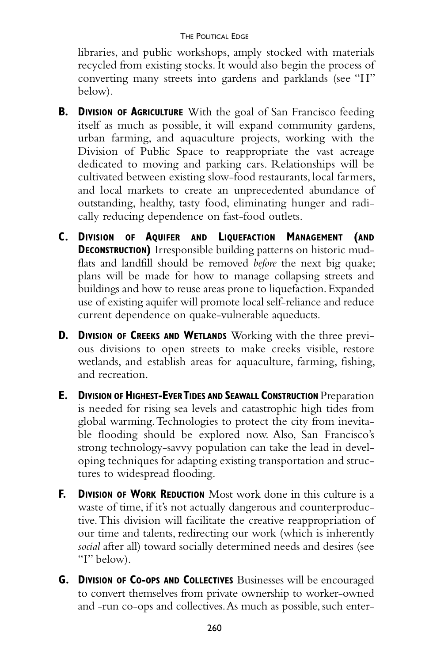libraries, and public workshops, amply stocked with materials recycled from existing stocks. It would also begin the process of converting many streets into gardens and parklands (see "H" below).

- **B. Division of Agriculture** With the goal of San Francisco feeding itself as much as possible, it will expand community gardens, urban farming, and aquaculture projects, working with the Division of Public Space to reappropriate the vast acreage dedicated to moving and parking cars. Relationships will be cultivated between existing slow-food restaurants, local farmers, and local markets to create an unprecedented abundance of outstanding, healthy, tasty food, eliminating hunger and radically reducing dependence on fast-food outlets.
- **C. Division of Aquifer and Liquefaction Management (and Deconstruction)** Irresponsible building patterns on historic mudflats and landfill should be removed *before* the next big quake; plans will be made for how to manage collapsing streets and buildings and how to reuse areas prone to liquefaction. Expanded use of existing aquifer will promote local self-reliance and reduce current dependence on quake-vulnerable aqueducts.
- **D. Division of Creeks and Wetlands** Working with the three previous divisions to open streets to make creeks visible, restore wetlands, and establish areas for aquaculture, farming, fishing, and recreation.
- **E. Division of Highest-EverTides and Seawall Construction** Preparation is needed for rising sea levels and catastrophic high tides from global warming. Technologies to protect the city from inevitable flooding should be explored now. Also, San Francisco's strong technology-savvy population can take the lead in developing techniques for adapting existing transportation and structures to widespread flooding.
- **F. Division of Work Reduction** Most work done in this culture is a waste of time, if it's not actually dangerous and counterproductive. This division will facilitate the creative reappropriation of our time and talents, redirecting our work (which is inherently *social* after all) toward socially determined needs and desires (see "I" below).
- **G. Division of Co-ops and Collectives** Businesses will be encouraged to convert themselves from private ownership to worker-owned and -run co-ops and collectives. As much as possible, such enter-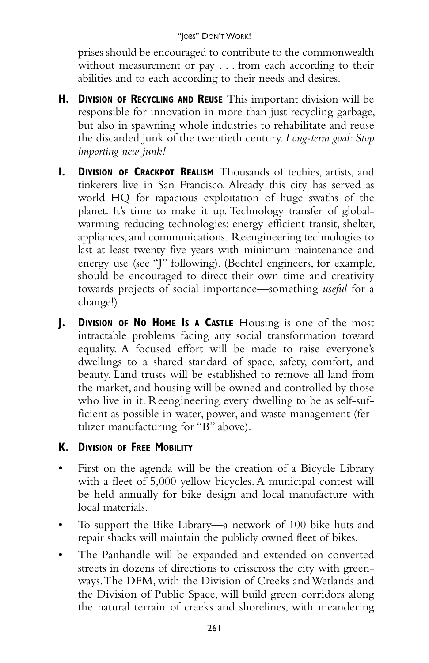prises should be encouraged to contribute to the commonwealth without measurement or pay . . . from each according to their abilities and to each according to their needs and desires.

- **H. Division of Recycling and Reuse** This important division will be responsible for innovation in more than just recycling garbage, but also in spawning whole industries to rehabilitate and reuse the discarded junk of the twentieth century. *Long-term goal: Stop importing new junk!*
- **I. Division of Crackpot Realism** Thousands of techies, artists, and tinkerers live in San Francisco. Already this city has served as world HQ for rapacious exploitation of huge swaths of the planet. It's time to make it up. Technology transfer of globalwarming-reducing technologies: energy efficient transit, shelter, appliances, and communications. Reengineering technologies to last at least twenty-five years with minimum maintenance and energy use (see "J" following). (Bechtel engineers, for example, should be encouraged to direct their own time and creativity towards projects of social importance—something *useful* for a change!)
- **J. Division of No Home Is a Castle** Housing is one of the most intractable problems facing any social transformation toward equality. A focused effort will be made to raise everyone's dwellings to a shared standard of space, safety, comfort, and beauty. Land trusts will be established to remove all land from the market, and housing will be owned and controlled by those who live in it. Reengineering every dwelling to be as self-sufficient as possible in water, power, and waste management (fertilizer manufacturing for "B" above).

## **K. Division of Free Mobility**

- First on the agenda will be the creation of a Bicycle Library with a fleet of 5,000 yellow bicycles. A municipal contest will be held annually for bike design and local manufacture with local materials.
- To support the Bike Library—a network of 100 bike huts and repair shacks will maintain the publicly owned fleet of bikes.
- • The Panhandle will be expanded and extended on converted streets in dozens of directions to crisscross the city with greenways. The DFM, with the Division of Creeks and Wetlands and the Division of Public Space, will build green corridors along the natural terrain of creeks and shorelines, with meandering